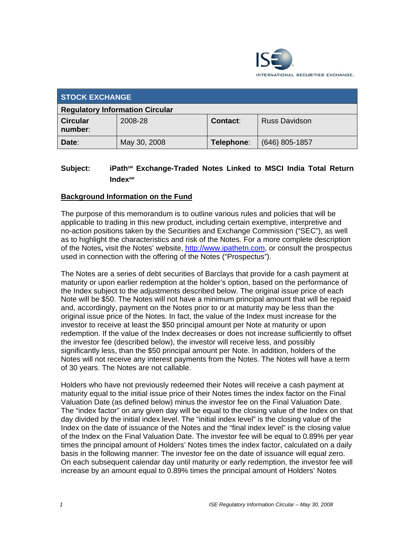

| <b>STOCK EXCHANGE</b>                  |              |                 |                      |
|----------------------------------------|--------------|-----------------|----------------------|
| <b>Regulatory Information Circular</b> |              |                 |                      |
| <b>Circular</b><br>number:             | 2008-28      | <b>Contact:</b> | <b>Russ Davidson</b> |
| Date:                                  | May 30, 2008 | Telephone:      | $(646)$ 805-1857     |

# **Subject:** iPath<sup>§M</sup> Exchange-Traded Notes Linked to MSCI India Total Return Index<sup>SM</sup>

# **Background Information on the Fund**

The purpose of this memorandum is to outline various rules and policies that will be applicable to trading in this new product, including certain exemptive, interpretive and no-action positions taken by the Securities and Exchange Commission ("SEC"), as well as to highlight the characteristics and risk of the Notes. For a more complete description of the Notes**,** visit the Notes' website, http://www.ipathetn.com, or consult the prospectus used in connection with the offering of the Notes ("Prospectus").

The Notes are a series of debt securities of Barclays that provide for a cash payment at maturity or upon earlier redemption at the holder's option, based on the performance of the Index subject to the adjustments described below. The original issue price of each Note will be \$50. The Notes will not have a minimum principal amount that will be repaid and, accordingly, payment on the Notes prior to or at maturity may be less than the original issue price of the Notes. In fact, the value of the Index must increase for the investor to receive at least the \$50 principal amount per Note at maturity or upon redemption. If the value of the Index decreases or does not increase sufficiently to offset the investor fee (described below), the investor will receive less, and possibly significantly less, than the \$50 principal amount per Note. In addition, holders of the Notes will not receive any interest payments from the Notes. The Notes will have a term of 30 years. The Notes are not callable.

Holders who have not previously redeemed their Notes will receive a cash payment at maturity equal to the initial issue price of their Notes times the index factor on the Final Valuation Date (as defined below) minus the investor fee on the Final Valuation Date. The "index factor" on any given day will be equal to the closing value of the Index on that day divided by the initial index level. The "initial index level" is the closing value of the Index on the date of issuance of the Notes and the "final index level" is the closing value of the Index on the Final Valuation Date. The investor fee will be equal to 0.89% per year times the principal amount of Holders' Notes times the index factor, calculated on a daily basis in the following manner: The investor fee on the date of issuance will equal zero. On each subsequent calendar day until maturity or early redemption, the investor fee will increase by an amount equal to 0.89% times the principal amount of Holders' Notes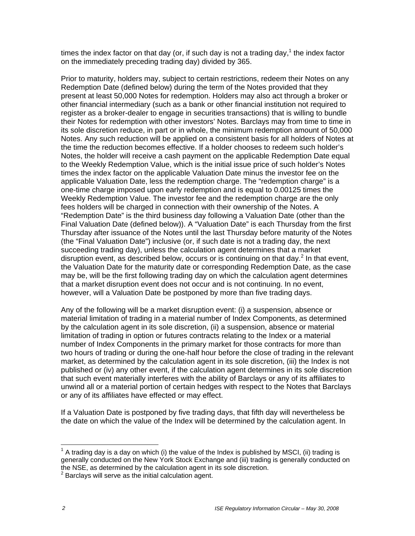times the index factor on that day (or, if such day is not a trading day,<sup>1</sup> the index factor on the immediately preceding trading day) divided by 365.

Prior to maturity, holders may, subject to certain restrictions, redeem their Notes on any Redemption Date (defined below) during the term of the Notes provided that they present at least 50,000 Notes for redemption. Holders may also act through a broker or other financial intermediary (such as a bank or other financial institution not required to register as a broker-dealer to engage in securities transactions) that is willing to bundle their Notes for redemption with other investors' Notes. Barclays may from time to time in its sole discretion reduce, in part or in whole, the minimum redemption amount of 50,000 Notes. Any such reduction will be applied on a consistent basis for all holders of Notes at the time the reduction becomes effective. If a holder chooses to redeem such holder's Notes, the holder will receive a cash payment on the applicable Redemption Date equal to the Weekly Redemption Value, which is the initial issue price of such holder's Notes times the index factor on the applicable Valuation Date minus the investor fee on the applicable Valuation Date, less the redemption charge. The "redemption charge" is a one-time charge imposed upon early redemption and is equal to 0.00125 times the Weekly Redemption Value. The investor fee and the redemption charge are the only fees holders will be charged in connection with their ownership of the Notes. A "Redemption Date" is the third business day following a Valuation Date (other than the Final Valuation Date (defined below)). A "Valuation Date" is each Thursday from the first Thursday after issuance of the Notes until the last Thursday before maturity of the Notes (the "Final Valuation Date") inclusive (or, if such date is not a trading day, the next succeeding trading day), unless the calculation agent determines that a market disruption event, as described below, occurs or is continuing on that day. $2$  In that event, the Valuation Date for the maturity date or corresponding Redemption Date, as the case may be, will be the first following trading day on which the calculation agent determines that a market disruption event does not occur and is not continuing. In no event, however, will a Valuation Date be postponed by more than five trading days.

Any of the following will be a market disruption event: (i) a suspension, absence or material limitation of trading in a material number of Index Components, as determined by the calculation agent in its sole discretion, (ii) a suspension, absence or material limitation of trading in option or futures contracts relating to the Index or a material number of Index Components in the primary market for those contracts for more than two hours of trading or during the one-half hour before the close of trading in the relevant market, as determined by the calculation agent in its sole discretion, (iii) the Index is not published or (iv) any other event, if the calculation agent determines in its sole discretion that such event materially interferes with the ability of Barclays or any of its affiliates to unwind all or a material portion of certain hedges with respect to the Notes that Barclays or any of its affiliates have effected or may effect.

If a Valuation Date is postponed by five trading days, that fifth day will nevertheless be the date on which the value of the Index will be determined by the calculation agent. In

 $\overline{a}$ 

 $1$  A trading day is a day on which (i) the value of the Index is published by MSCI, (ii) trading is generally conducted on the New York Stock Exchange and (iii) trading is generally conducted on the NSE, as determined by the calculation agent in its sole discretion.

<sup>2</sup> Barclays will serve as the initial calculation agent.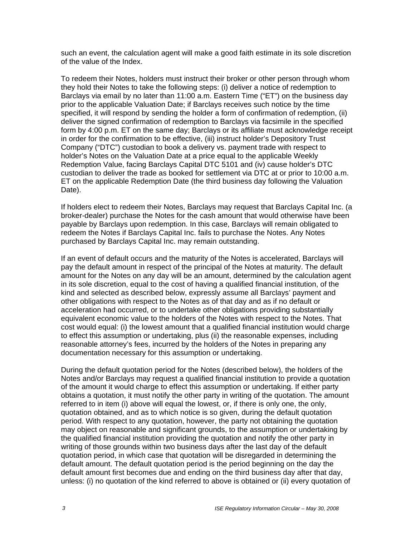such an event, the calculation agent will make a good faith estimate in its sole discretion of the value of the Index.

To redeem their Notes, holders must instruct their broker or other person through whom they hold their Notes to take the following steps: (i) deliver a notice of redemption to Barclays via email by no later than 11:00 a.m. Eastern Time ("ET") on the business day prior to the applicable Valuation Date; if Barclays receives such notice by the time specified, it will respond by sending the holder a form of confirmation of redemption, (ii) deliver the signed confirmation of redemption to Barclays via facsimile in the specified form by 4:00 p.m. ET on the same day; Barclays or its affiliate must acknowledge receipt in order for the confirmation to be effective, (iii) instruct holder's Depository Trust Company ("DTC") custodian to book a delivery vs. payment trade with respect to holder's Notes on the Valuation Date at a price equal to the applicable Weekly Redemption Value, facing Barclays Capital DTC 5101 and (iv) cause holder's DTC custodian to deliver the trade as booked for settlement via DTC at or prior to 10:00 a.m. ET on the applicable Redemption Date (the third business day following the Valuation Date).

If holders elect to redeem their Notes, Barclays may request that Barclays Capital Inc. (a broker-dealer) purchase the Notes for the cash amount that would otherwise have been payable by Barclays upon redemption. In this case, Barclays will remain obligated to redeem the Notes if Barclays Capital Inc. fails to purchase the Notes. Any Notes purchased by Barclays Capital Inc. may remain outstanding.

If an event of default occurs and the maturity of the Notes is accelerated, Barclays will pay the default amount in respect of the principal of the Notes at maturity. The default amount for the Notes on any day will be an amount, determined by the calculation agent in its sole discretion, equal to the cost of having a qualified financial institution, of the kind and selected as described below, expressly assume all Barclays' payment and other obligations with respect to the Notes as of that day and as if no default or acceleration had occurred, or to undertake other obligations providing substantially equivalent economic value to the holders of the Notes with respect to the Notes. That cost would equal: (i) the lowest amount that a qualified financial institution would charge to effect this assumption or undertaking, plus (ii) the reasonable expenses, including reasonable attorney's fees, incurred by the holders of the Notes in preparing any documentation necessary for this assumption or undertaking.

During the default quotation period for the Notes (described below), the holders of the Notes and/or Barclays may request a qualified financial institution to provide a quotation of the amount it would charge to effect this assumption or undertaking. If either party obtains a quotation, it must notify the other party in writing of the quotation. The amount referred to in item (i) above will equal the lowest, or, if there is only one, the only, quotation obtained, and as to which notice is so given, during the default quotation period. With respect to any quotation, however, the party not obtaining the quotation may object on reasonable and significant grounds, to the assumption or undertaking by the qualified financial institution providing the quotation and notify the other party in writing of those grounds within two business days after the last day of the default quotation period, in which case that quotation will be disregarded in determining the default amount. The default quotation period is the period beginning on the day the default amount first becomes due and ending on the third business day after that day, unless: (i) no quotation of the kind referred to above is obtained or (ii) every quotation of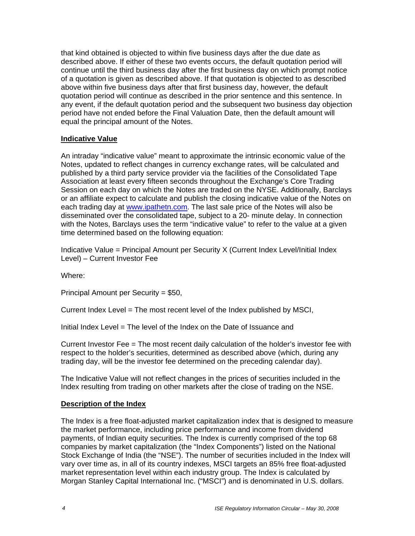that kind obtained is objected to within five business days after the due date as described above. If either of these two events occurs, the default quotation period will continue until the third business day after the first business day on which prompt notice of a quotation is given as described above. If that quotation is objected to as described above within five business days after that first business day, however, the default quotation period will continue as described in the prior sentence and this sentence. In any event, if the default quotation period and the subsequent two business day objection period have not ended before the Final Valuation Date, then the default amount will equal the principal amount of the Notes.

#### **Indicative Value**

An intraday "indicative value" meant to approximate the intrinsic economic value of the Notes, updated to reflect changes in currency exchange rates, will be calculated and published by a third party service provider via the facilities of the Consolidated Tape Association at least every fifteen seconds throughout the Exchange's Core Trading Session on each day on which the Notes are traded on the NYSE. Additionally, Barclays or an affiliate expect to calculate and publish the closing indicative value of the Notes on each trading day at www.ipathetn.com. The last sale price of the Notes will also be disseminated over the consolidated tape, subject to a 20- minute delay. In connection with the Notes, Barclays uses the term "indicative value" to refer to the value at a given time determined based on the following equation:

Indicative Value = Principal Amount per Security X (Current Index Level/Initial Index Level) – Current Investor Fee

Where:

Principal Amount per Security = \$50,

Current Index Level = The most recent level of the Index published by MSCI,

Initial Index Level = The level of the Index on the Date of Issuance and

Current Investor Fee = The most recent daily calculation of the holder's investor fee with respect to the holder's securities, determined as described above (which, during any trading day, will be the investor fee determined on the preceding calendar day).

The Indicative Value will not reflect changes in the prices of securities included in the Index resulting from trading on other markets after the close of trading on the NSE.

## **Description of the Index**

The Index is a free float-adjusted market capitalization index that is designed to measure the market performance, including price performance and income from dividend payments, of Indian equity securities. The Index is currently comprised of the top 68 companies by market capitalization (the "Index Components") listed on the National Stock Exchange of India (the "NSE"). The number of securities included in the Index will vary over time as, in all of its country indexes, MSCI targets an 85% free float-adjusted market representation level within each industry group. The Index is calculated by Morgan Stanley Capital International Inc. ("MSCI") and is denominated in U.S. dollars.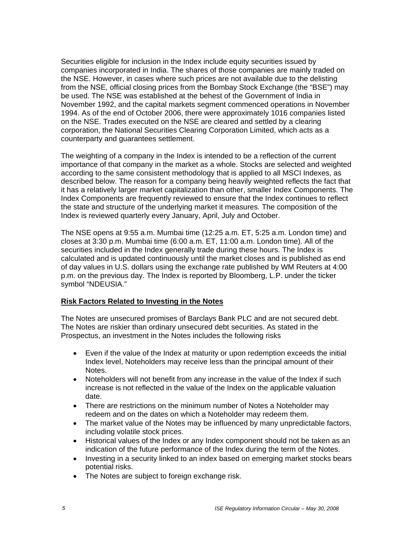Securities eligible for inclusion in the Index include equity securities issued by companies incorporated in India. The shares of those companies are mainly traded on the NSE. However, in cases where such prices are not available due to the delisting from the NSE, official closing prices from the Bombay Stock Exchange (the "BSE") may be used. The NSE was established at the behest of the Government of India in November 1992, and the capital markets segment commenced operations in November 1994. As of the end of October 2006, there were approximately 1016 companies listed on the NSE. Trades executed on the NSE are cleared and settled by a clearing corporation, the National Securities Clearing Corporation Limited, which acts as a counterparty and guarantees settlement.

The weighting of a company in the Index is intended to be a reflection of the current importance of that company in the market as a whole. Stocks are selected and weighted according to the same consistent methodology that is applied to all MSCI Indexes, as described below. The reason for a company being heavily weighted reflects the fact that it has a relatively larger market capitalization than other, smaller Index Components. The Index Components are frequently reviewed to ensure that the Index continues to reflect the state and structure of the underlying market it measures. The composition of the Index is reviewed quarterly every January, April, July and October.

The NSE opens at 9:55 a.m. Mumbai time (12:25 a.m. ET, 5:25 a.m. London time) and closes at 3:30 p.m. Mumbai time (6:00 a.m. ET, 11:00 a.m. London time). All of the securities included in the Index generally trade during these hours. The Index is calculated and is updated continuously until the market closes and is published as end of day values in U.S. dollars using the exchange rate published by WM Reuters at 4:00 p.m. on the previous day. The Index is reported by Bloomberg, L.P. under the ticker symbol "NDEUSIA."

## **Risk Factors Related to Investing in the Notes**

The Notes are unsecured promises of Barclays Bank PLC and are not secured debt. The Notes are riskier than ordinary unsecured debt securities. As stated in the Prospectus, an investment in the Notes includes the following risks

- Even if the value of the Index at maturity or upon redemption exceeds the initial Index level, Noteholders may receive less than the principal amount of their Notes.
- Noteholders will not benefit from any increase in the value of the Index if such increase is not reflected in the value of the Index on the applicable valuation date.
- There are restrictions on the minimum number of Notes a Noteholder may redeem and on the dates on which a Noteholder may redeem them.
- The market value of the Notes may be influenced by many unpredictable factors, including volatile stock prices.
- Historical values of the Index or any Index component should not be taken as an indication of the future performance of the Index during the term of the Notes.
- Investing in a security linked to an index based on emerging market stocks bears potential risks.
- The Notes are subject to foreign exchange risk.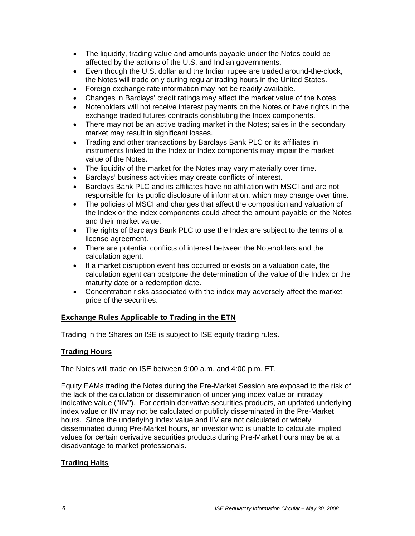- The liquidity, trading value and amounts payable under the Notes could be affected by the actions of the U.S. and Indian governments.
- Even though the U.S. dollar and the Indian rupee are traded around-the-clock, the Notes will trade only during regular trading hours in the United States.
- Foreign exchange rate information may not be readily available.
- Changes in Barclays' credit ratings may affect the market value of the Notes.
- Noteholders will not receive interest payments on the Notes or have rights in the exchange traded futures contracts constituting the Index components.
- There may not be an active trading market in the Notes; sales in the secondary market may result in significant losses.
- Trading and other transactions by Barclays Bank PLC or its affiliates in instruments linked to the Index or Index components may impair the market value of the Notes.
- The liquidity of the market for the Notes may vary materially over time.
- Barclays' business activities may create conflicts of interest.
- Barclays Bank PLC and its affiliates have no affiliation with MSCI and are not responsible for its public disclosure of information, which may change over time.
- The policies of MSCI and changes that affect the composition and valuation of the Index or the index components could affect the amount payable on the Notes and their market value.
- The rights of Barclays Bank PLC to use the Index are subject to the terms of a license agreement.
- There are potential conflicts of interest between the Noteholders and the calculation agent.
- If a market disruption event has occurred or exists on a valuation date, the calculation agent can postpone the determination of the value of the Index or the maturity date or a redemption date.
- Concentration risks associated with the index may adversely affect the market price of the securities.

## **Exchange Rules Applicable to Trading in the ETN**

Trading in the Shares on ISE is subject to ISE equity trading rules.

#### **Trading Hours**

The Notes will trade on ISE between 9:00 a.m. and 4:00 p.m. ET.

Equity EAMs trading the Notes during the Pre-Market Session are exposed to the risk of the lack of the calculation or dissemination of underlying index value or intraday indicative value ("IIV"). For certain derivative securities products, an updated underlying index value or IIV may not be calculated or publicly disseminated in the Pre-Market hours. Since the underlying index value and IIV are not calculated or widely disseminated during Pre-Market hours, an investor who is unable to calculate implied values for certain derivative securities products during Pre-Market hours may be at a disadvantage to market professionals.

## **Trading Halts**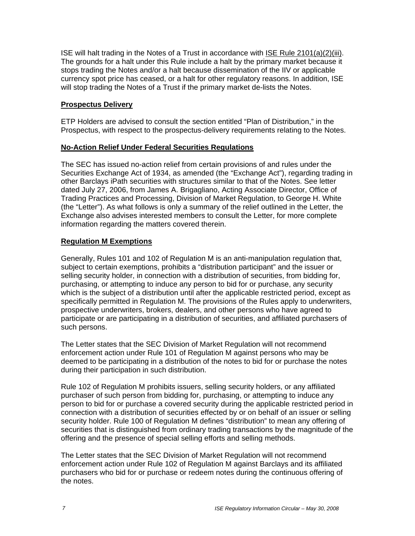ISE will halt trading in the Notes of a Trust in accordance with ISE Rule 2101(a)(2)(iii). The grounds for a halt under this Rule include a halt by the primary market because it stops trading the Notes and/or a halt because dissemination of the IIV or applicable currency spot price has ceased, or a halt for other regulatory reasons. In addition, ISE will stop trading the Notes of a Trust if the primary market de-lists the Notes.

#### **Prospectus Delivery**

ETP Holders are advised to consult the section entitled "Plan of Distribution," in the Prospectus, with respect to the prospectus-delivery requirements relating to the Notes.

## **No-Action Relief Under Federal Securities Regulations**

The SEC has issued no-action relief from certain provisions of and rules under the Securities Exchange Act of 1934, as amended (the "Exchange Act"), regarding trading in other Barclays iPath securities with structures similar to that of the Notes. See letter dated July 27, 2006, from James A. Brigagliano, Acting Associate Director, Office of Trading Practices and Processing, Division of Market Regulation, to George H. White (the "Letter"). As what follows is only a summary of the relief outlined in the Letter, the Exchange also advises interested members to consult the Letter, for more complete information regarding the matters covered therein.

#### **Regulation M Exemptions**

Generally, Rules 101 and 102 of Regulation M is an anti-manipulation regulation that, subject to certain exemptions, prohibits a "distribution participant" and the issuer or selling security holder, in connection with a distribution of securities, from bidding for, purchasing, or attempting to induce any person to bid for or purchase, any security which is the subject of a distribution until after the applicable restricted period, except as specifically permitted in Regulation M. The provisions of the Rules apply to underwriters, prospective underwriters, brokers, dealers, and other persons who have agreed to participate or are participating in a distribution of securities, and affiliated purchasers of such persons.

The Letter states that the SEC Division of Market Regulation will not recommend enforcement action under Rule 101 of Regulation M against persons who may be deemed to be participating in a distribution of the notes to bid for or purchase the notes during their participation in such distribution.

Rule 102 of Regulation M prohibits issuers, selling security holders, or any affiliated purchaser of such person from bidding for, purchasing, or attempting to induce any person to bid for or purchase a covered security during the applicable restricted period in connection with a distribution of securities effected by or on behalf of an issuer or selling security holder. Rule 100 of Regulation M defines "distribution" to mean any offering of securities that is distinguished from ordinary trading transactions by the magnitude of the offering and the presence of special selling efforts and selling methods.

The Letter states that the SEC Division of Market Regulation will not recommend enforcement action under Rule 102 of Regulation M against Barclays and its affiliated purchasers who bid for or purchase or redeem notes during the continuous offering of the notes.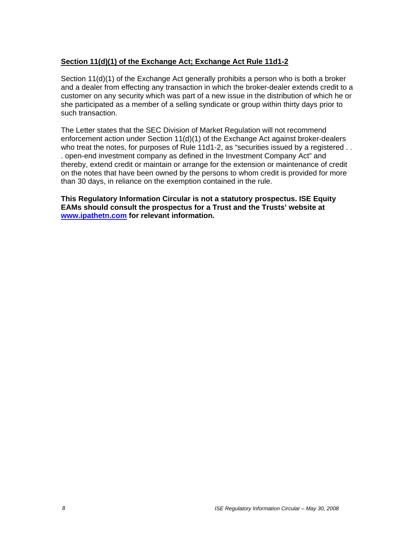## **Section 11(d)(1) of the Exchange Act; Exchange Act Rule 11d1-2**

Section 11(d)(1) of the Exchange Act generally prohibits a person who is both a broker and a dealer from effecting any transaction in which the broker-dealer extends credit to a customer on any security which was part of a new issue in the distribution of which he or she participated as a member of a selling syndicate or group within thirty days prior to such transaction.

The Letter states that the SEC Division of Market Regulation will not recommend enforcement action under Section 11(d)(1) of the Exchange Act against broker-dealers who treat the notes, for purposes of Rule 11d1-2, as "securities issued by a registered . . . open-end investment company as defined in the Investment Company Act" and thereby, extend credit or maintain or arrange for the extension or maintenance of credit on the notes that have been owned by the persons to whom credit is provided for more than 30 days, in reliance on the exemption contained in the rule.

**This Regulatory Information Circular is not a statutory prospectus. ISE Equity EAMs should consult the prospectus for a Trust and the Trusts' website at www.ipathetn.com for relevant information.**